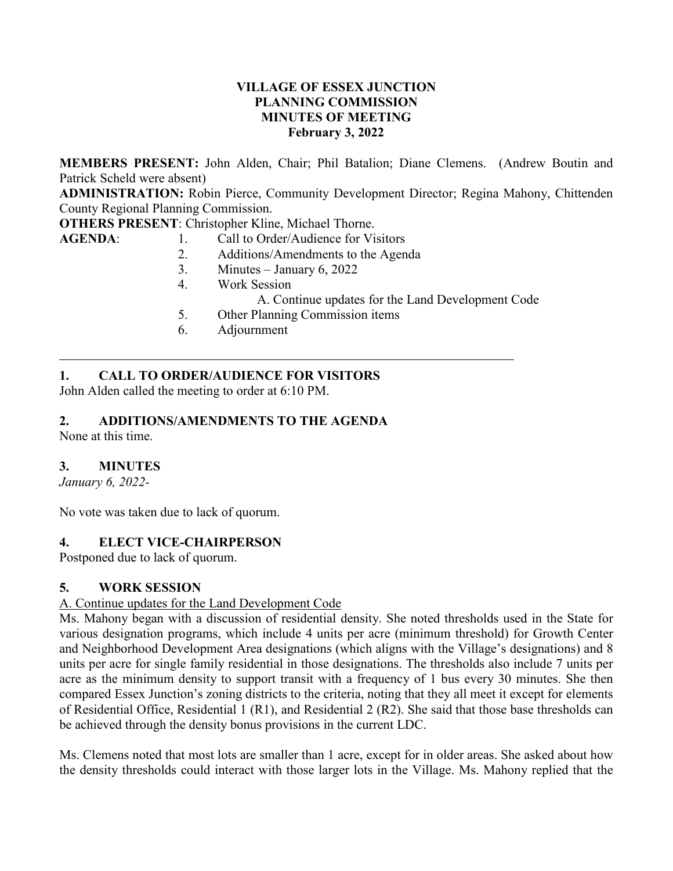## **VILLAGE OF ESSEX JUNCTION PLANNING COMMISSION MINUTES OF MEETING February 3, 2022**

**MEMBERS PRESENT:** John Alden, Chair; Phil Batalion; Diane Clemens. (Andrew Boutin and Patrick Scheld were absent)

**ADMINISTRATION:** Robin Pierce, Community Development Director; Regina Mahony, Chittenden County Regional Planning Commission.

**OTHERS PRESENT**: Christopher Kline, Michael Thorne.

- AGENDA: 1. Call to Order/Audience for Visitors
	- 2. Additions/Amendments to the Agenda
	- 3. Minutes January 6, 2022
	- 4. Work Session
		- A. Continue updates for the Land Development Code
	- 5. Other Planning Commission items
	- 6. Adjournment

# **1. CALL TO ORDER/AUDIENCE FOR VISITORS**

John Alden called the meeting to order at 6:10 PM.

# **2. ADDITIONS/AMENDMENTS TO THE AGENDA**

None at this time.

## **3. MINUTES**

*January 6, 2022-*

No vote was taken due to lack of quorum.

#### **4. ELECT VICE-CHAIRPERSON**

Postponed due to lack of quorum.

#### **5. WORK SESSION**

#### A. Continue updates for the Land Development Code

Ms. Mahony began with a discussion of residential density. She noted thresholds used in the State for various designation programs, which include 4 units per acre (minimum threshold) for Growth Center and Neighborhood Development Area designations (which aligns with the Village's designations) and 8 units per acre for single family residential in those designations. The thresholds also include 7 units per acre as the minimum density to support transit with a frequency of 1 bus every 30 minutes. She then compared Essex Junction's zoning districts to the criteria, noting that they all meet it except for elements of Residential Office, Residential 1 (R1), and Residential 2 (R2). She said that those base thresholds can be achieved through the density bonus provisions in the current LDC.

Ms. Clemens noted that most lots are smaller than 1 acre, except for in older areas. She asked about how the density thresholds could interact with those larger lots in the Village. Ms. Mahony replied that the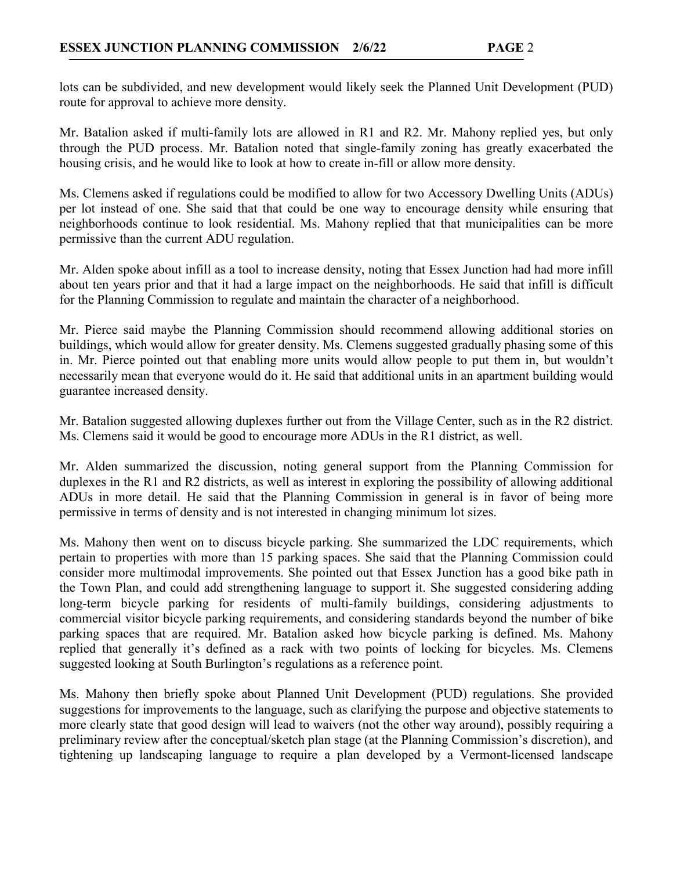lots can be subdivided, and new development would likely seek the Planned Unit Development (PUD) route for approval to achieve more density.

Mr. Batalion asked if multi-family lots are allowed in R1 and R2. Mr. Mahony replied yes, but only through the PUD process. Mr. Batalion noted that single-family zoning has greatly exacerbated the housing crisis, and he would like to look at how to create in-fill or allow more density.

Ms. Clemens asked if regulations could be modified to allow for two Accessory Dwelling Units (ADUs) per lot instead of one. She said that that could be one way to encourage density while ensuring that neighborhoods continue to look residential. Ms. Mahony replied that that municipalities can be more permissive than the current ADU regulation.

Mr. Alden spoke about infill as a tool to increase density, noting that Essex Junction had had more infill about ten years prior and that it had a large impact on the neighborhoods. He said that infill is difficult for the Planning Commission to regulate and maintain the character of a neighborhood.

Mr. Pierce said maybe the Planning Commission should recommend allowing additional stories on buildings, which would allow for greater density. Ms. Clemens suggested gradually phasing some of this in. Mr. Pierce pointed out that enabling more units would allow people to put them in, but wouldn't necessarily mean that everyone would do it. He said that additional units in an apartment building would guarantee increased density.

Mr. Batalion suggested allowing duplexes further out from the Village Center, such as in the R2 district. Ms. Clemens said it would be good to encourage more ADUs in the R1 district, as well.

Mr. Alden summarized the discussion, noting general support from the Planning Commission for duplexes in the R1 and R2 districts, as well as interest in exploring the possibility of allowing additional ADUs in more detail. He said that the Planning Commission in general is in favor of being more permissive in terms of density and is not interested in changing minimum lot sizes.

Ms. Mahony then went on to discuss bicycle parking. She summarized the LDC requirements, which pertain to properties with more than 15 parking spaces. She said that the Planning Commission could consider more multimodal improvements. She pointed out that Essex Junction has a good bike path in the Town Plan, and could add strengthening language to support it. She suggested considering adding long-term bicycle parking for residents of multi-family buildings, considering adjustments to commercial visitor bicycle parking requirements, and considering standards beyond the number of bike parking spaces that are required. Mr. Batalion asked how bicycle parking is defined. Ms. Mahony replied that generally it's defined as a rack with two points of locking for bicycles. Ms. Clemens suggested looking at South Burlington's regulations as a reference point.

Ms. Mahony then briefly spoke about Planned Unit Development (PUD) regulations. She provided suggestions for improvements to the language, such as clarifying the purpose and objective statements to more clearly state that good design will lead to waivers (not the other way around), possibly requiring a preliminary review after the conceptual/sketch plan stage (at the Planning Commission's discretion), and tightening up landscaping language to require a plan developed by a Vermont-licensed landscape